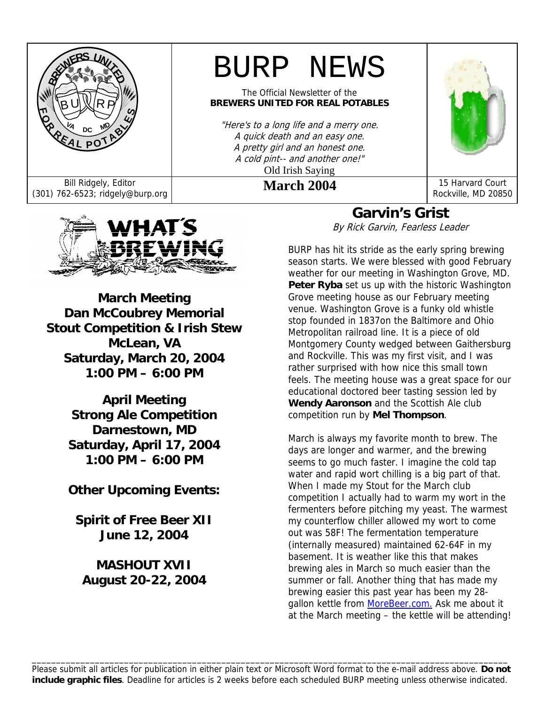

# BURP NEWS

The Official Newsletter of the **BREWERS UNITED FOR REAL POTABLES**

"Here's to a long life and a merry one. A quick death and an easy one. A pretty girl and an honest one. A cold pint-- and another one!" Old Irish Saying



Rockville, MD 20850

Bill Ridgely, Editor **March 2004** 15 Harvard Court (301) 762-6523; ridgely@burp.org **March 2004** 15 Harvard Court



**March Meeting Dan McCoubrey Memorial Stout Competition & Irish Stew McLean, VA Saturday, March 20, 2004 1:00 PM – 6:00 PM**

> **April Meeting Strong Ale Competition Darnestown, MD Saturday, April 17, 2004 1:00 PM – 6:00 PM**

> **Other Upcoming Events:**

**Spirit of Free Beer XII June 12, 2004** 

### **MASHOUT XVII August 20-22, 2004**

# **Garvin's Grist**

By Rick Garvin, Fearless Leader

BURP has hit its stride as the early spring brewing season starts. We were blessed with good February weather for our meeting in Washington Grove, MD. Peter Ryba set us up with the historic Washington Grove meeting house as our February meeting venue. Washington Grove is a funky old whistle stop founded in 1837on the Baltimore and Ohio Metropolitan railroad line. It is a piece of old Montgomery County wedged between Gaithersburg and Rockville. This was my first visit, and I was rather surprised with how nice this small town feels. The meeting house was a great space for our educational doctored beer tasting session led by **Wendy Aaronson** and the Scottish Ale club competition run by **Mel Thompson**.

March is always my favorite month to brew. The days are longer and warmer, and the brewing seems to go much faster. I imagine the cold tap water and rapid wort chilling is a big part of that. When I made my Stout for the March club competition I actually had to warm my wort in the fermenters before pitching my yeast. The warmest my counterflow chiller allowed my wort to come out was 58F! The fermentation temperature (internally measured) maintained 62-64F in my basement. It is weather like this that makes brewing ales in March so much easier than the summer or fall. Another thing that has made my brewing easier this past year has been my 28 gallon kettle from MoreBeer.com. Ask me about it at the March meeting – the kettle will be attending!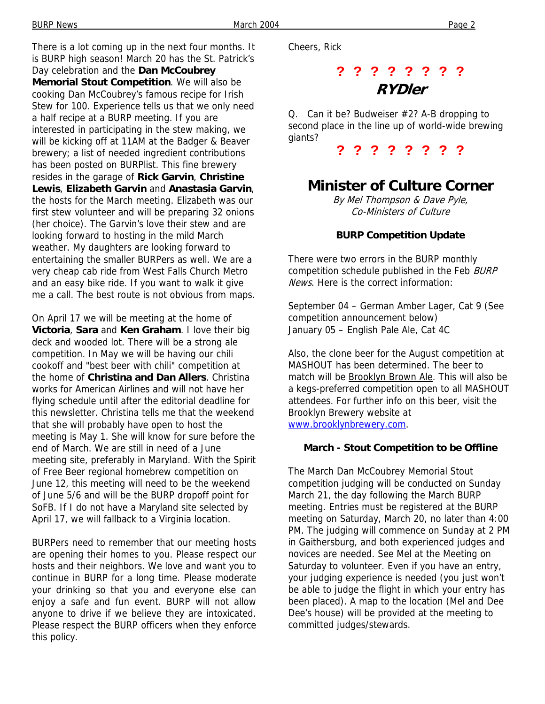There is a lot coming up in the next four months. It is BURP high season! March 20 has the St. Patrick's Day celebration and the **Dan McCoubrey Memorial Stout Competition**. We will also be cooking Dan McCoubrey's famous recipe for Irish Stew for 100. Experience tells us that we only need a half recipe at a BURP meeting. If you are interested in participating in the stew making, we will be kicking off at 11AM at the Badger & Beaver brewery; a list of needed ingredient contributions has been posted on BURPlist. This fine brewery resides in the garage of **Rick Garvin**, **Christine Lewis**, **Elizabeth Garvin** and **Anastasia Garvin**, the hosts for the March meeting. Elizabeth was our first stew volunteer and will be preparing 32 onions (her choice). The Garvin's love their stew and are looking forward to hosting in the mild March weather. My daughters are looking forward to entertaining the smaller BURPers as well. We are a very cheap cab ride from West Falls Church Metro and an easy bike ride. If you want to walk it give me a call. The best route is not obvious from maps.

On April 17 we will be meeting at the home of **Victoria**, **Sara** and **Ken Graham**. I love their big deck and wooded lot. There will be a strong ale competition. In May we will be having our chili cookoff and "best beer with chili" competition at the home of **Christina and Dan Allers**. Christina works for American Airlines and will not have her flying schedule until after the editorial deadline for this newsletter. Christina tells me that the weekend that she will probably have open to host the meeting is May 1. She will know for sure before the end of March. We are still in need of a June meeting site, preferably in Maryland. With the Spirit of Free Beer regional homebrew competition on June 12, this meeting will need to be the weekend of June 5/6 and will be the BURP dropoff point for SoFB. If I do not have a Maryland site selected by April 17, we will fallback to a Virginia location.

BURPers need to remember that our meeting hosts are opening their homes to you. Please respect our hosts and their neighbors. We love and want you to continue in BURP for a long time. Please moderate your drinking so that you and everyone else can enjoy a safe and fun event. BURP will not allow anyone to drive if we believe they are intoxicated. Please respect the BURP officers when they enforce this policy.

Cheers, Rick

# **? ? ? ? ? ? ? ? RYDler**

Q. Can it be? Budweiser #2? A-B dropping to second place in the line up of world-wide brewing giants?

**? ? ? ? ? ? ? ?** 

### **Minister of Culture Corner**

By Mel Thompson & Dave Pyle, Co-Ministers of Culture

#### **BURP Competition Update**

There were two errors in the BURP monthly competition schedule published in the Feb BURP News. Here is the correct information:

September 04 – German Amber Lager, Cat 9 (See competition announcement below) January 05 – English Pale Ale, Cat 4C

Also, the clone beer for the August competition at MASHOUT has been determined. The beer to match will be Brooklyn Brown Ale. This will also be a kegs-preferred competition open to all MASHOUT attendees. For further info on this beer, visit the Brooklyn Brewery website at www.brooklynbrewery.com.

#### **March - Stout Competition to be Offline**

The March Dan McCoubrey Memorial Stout competition judging will be conducted on Sunday March 21, the day following the March BURP meeting. Entries must be registered at the BURP meeting on Saturday, March 20, no later than 4:00 PM. The judging will commence on Sunday at 2 PM in Gaithersburg, and both experienced judges and novices are needed. See Mel at the Meeting on Saturday to volunteer. Even if you have an entry, your judging experience is needed (you just won't be able to judge the flight in which your entry has been placed). A map to the location (Mel and Dee Dee's house) will be provided at the meeting to committed judges/stewards.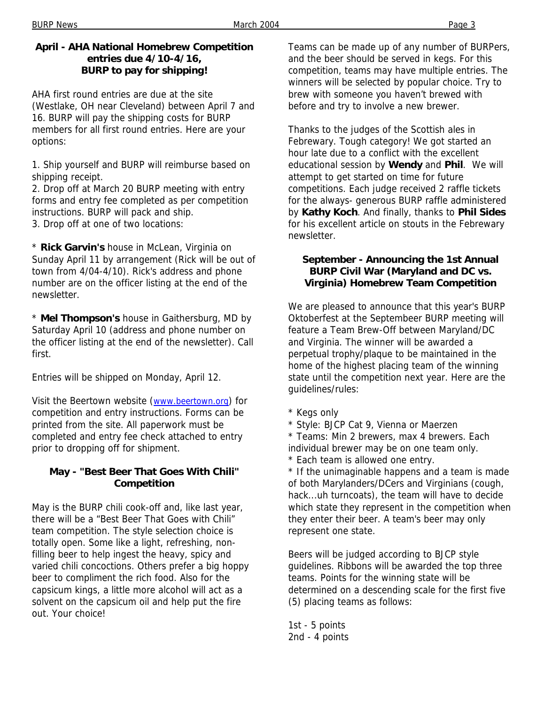### **April - AHA National Homebrew Competition entries due 4/10-4/16, BURP to pay for shipping!**

AHA first round entries are due at the site (Westlake, OH near Cleveland) between April 7 and 16. BURP will pay the shipping costs for BURP members for all first round entries. Here are your options:

1. Ship yourself and BURP will reimburse based on shipping receipt.

2. Drop off at March 20 BURP meeting with entry forms and entry fee completed as per competition instructions. BURP will pack and ship.

3. Drop off at one of two locations:

\* **Rick Garvin's** house in McLean, Virginia on Sunday April 11 by arrangement (Rick will be out of town from 4/04-4/10). Rick's address and phone number are on the officer listing at the end of the newsletter.

\* **Mel Thompson's** house in Gaithersburg, MD by Saturday April 10 (address and phone number on the officer listing at the end of the newsletter). Call first.

Entries will be shipped on Monday, April 12.

Visit the Beertown website (www.beertown.org) for competition and entry instructions. Forms can be printed from the site. All paperwork must be completed and entry fee check attached to entry prior to dropping off for shipment.

### **May - "Best Beer That Goes With Chili" Competition**

May is the BURP chili cook-off and, like last year, there will be a "Best Beer That Goes with Chili" team competition. The style selection choice is totally open. Some like a light, refreshing, nonfilling beer to help ingest the heavy, spicy and varied chili concoctions. Others prefer a big hoppy beer to compliment the rich food. Also for the capsicum kings, a little more alcohol will act as a solvent on the capsicum oil and help put the fire out. Your choice!

Teams can be made up of any number of BURPers, and the beer should be served in kegs. For this competition, teams may have multiple entries. The winners will be selected by popular choice. Try to brew with someone you haven't brewed with before and try to involve a new brewer.

Thanks to the judges of the Scottish ales in Febrewary. Tough category! We got started an hour late due to a conflict with the excellent educational session by **Wendy** and **Phil**. We will attempt to get started on time for future competitions. Each judge received 2 raffle tickets for the always- generous BURP raffle administered by **Kathy Koch**. And finally, thanks to **Phil Sides** for his excellent article on stouts in the Febrewary newsletter.

### **September - Announcing the 1st Annual BURP Civil War (Maryland and DC vs. Virginia) Homebrew Team Competition**

We are pleased to announce that this year's BURP Oktoberfest at the Septembeer BURP meeting will feature a Team Brew-Off between Maryland/DC and Virginia. The winner will be awarded a perpetual trophy/plaque to be maintained in the home of the highest placing team of the winning state until the competition next year. Here are the guidelines/rules:

- \* Kegs only
- \* Style: BJCP Cat 9, Vienna or Maerzen
- \* Teams: Min 2 brewers, max 4 brewers. Each individual brewer may be on one team only.
- \* Each team is allowed one entry.

\* If the unimaginable happens and a team is made of both Marylanders/DCers and Virginians (cough, hack...uh turncoats), the team will have to decide which state they represent in the competition when they enter their beer. A team's beer may only represent one state.

Beers will be judged according to BJCP style guidelines. Ribbons will be awarded the top three teams. Points for the winning state will be determined on a descending scale for the first five (5) placing teams as follows:

1st - 5 points 2nd - 4 points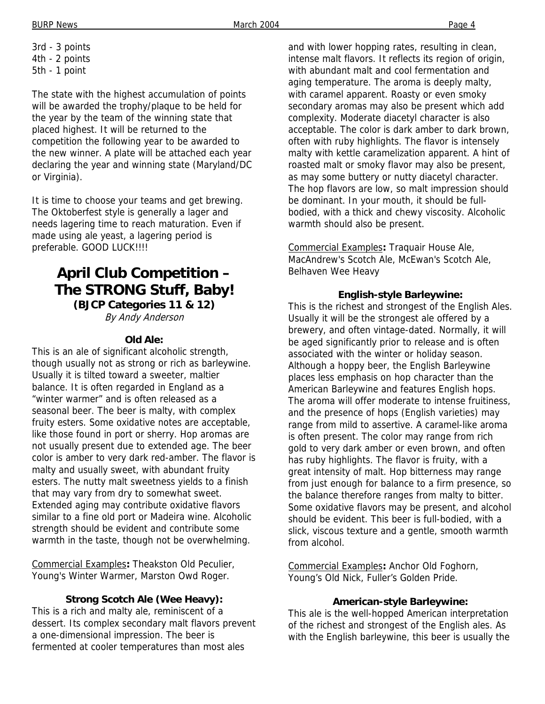3rd - 3 points 4th - 2 points 5th - 1 point

The state with the highest accumulation of points will be awarded the trophy/plaque to be held for the year by the team of the winning state that placed highest. It will be returned to the competition the following year to be awarded to the new winner. A plate will be attached each year declaring the year and winning state (Maryland/DC or Virginia).

It is time to choose your teams and get brewing. The Oktoberfest style is generally a lager and needs lagering time to reach maturation. Even if made using ale yeast, a lagering period is preferable. GOOD LUCK!!!!

# **April Club Competition – The STRONG Stuff, Baby!**

**(BJCP Categories 11 & 12)**  By Andy Anderson

### **Old Ale:**

This is an ale of significant alcoholic strength, though usually not as strong or rich as barleywine. Usually it is tilted toward a sweeter, maltier balance. It is often regarded in England as a "winter warmer" and is often released as a seasonal beer. The beer is malty, with complex fruity esters. Some oxidative notes are acceptable, like those found in port or sherry. Hop aromas are not usually present due to extended age. The beer color is amber to very dark red-amber. The flavor is malty and usually sweet, with abundant fruity esters. The nutty malt sweetness yields to a finish that may vary from dry to somewhat sweet. Extended aging may contribute oxidative flavors similar to a fine old port or Madeira wine. Alcoholic strength should be evident and contribute some warmth in the taste, though not be overwhelming.

Commercial Examples**:** Theakston Old Peculier, Young's Winter Warmer, Marston Owd Roger.

### **Strong Scotch Ale (Wee Heavy):**

This is a rich and malty ale, reminiscent of a dessert. Its complex secondary malt flavors prevent a one-dimensional impression. The beer is fermented at cooler temperatures than most ales

and with lower hopping rates, resulting in clean, intense malt flavors. It reflects its region of origin, with abundant malt and cool fermentation and aging temperature. The aroma is deeply malty, with caramel apparent. Roasty or even smoky secondary aromas may also be present which add complexity. Moderate diacetyl character is also acceptable. The color is dark amber to dark brown, often with ruby highlights. The flavor is intensely malty with kettle caramelization apparent. A hint of roasted malt or smoky flavor may also be present, as may some buttery or nutty diacetyl character. The hop flavors are low, so malt impression should be dominant. In your mouth, it should be fullbodied, with a thick and chewy viscosity. Alcoholic warmth should also be present.

Commercial Examples**:** Traquair House Ale, MacAndrew's Scotch Ale, McEwan's Scotch Ale, Belhaven Wee Heavy

### **English-style Barleywine:**

This is the richest and strongest of the English Ales. Usually it will be the strongest ale offered by a brewery, and often vintage-dated. Normally, it will be aged significantly prior to release and is often associated with the winter or holiday season. Although a hoppy beer, the English Barleywine places less emphasis on hop character than the American Barleywine and features English hops. The aroma will offer moderate to intense fruitiness, and the presence of hops (English varieties) may range from mild to assertive. A caramel-like aroma is often present. The color may range from rich gold to very dark amber or even brown, and often has ruby highlights. The flavor is fruity, with a great intensity of malt. Hop bitterness may range from just enough for balance to a firm presence, so the balance therefore ranges from malty to bitter. Some oxidative flavors may be present, and alcohol should be evident. This beer is full-bodied, with a slick, viscous texture and a gentle, smooth warmth from alcohol.

Commercial Examples**:** Anchor Old Foghorn, Young's Old Nick, Fuller's Golden Pride.

### **American-style Barleywine:**

This ale is the well-hopped American interpretation of the richest and strongest of the English ales. As with the English barleywine, this beer is usually the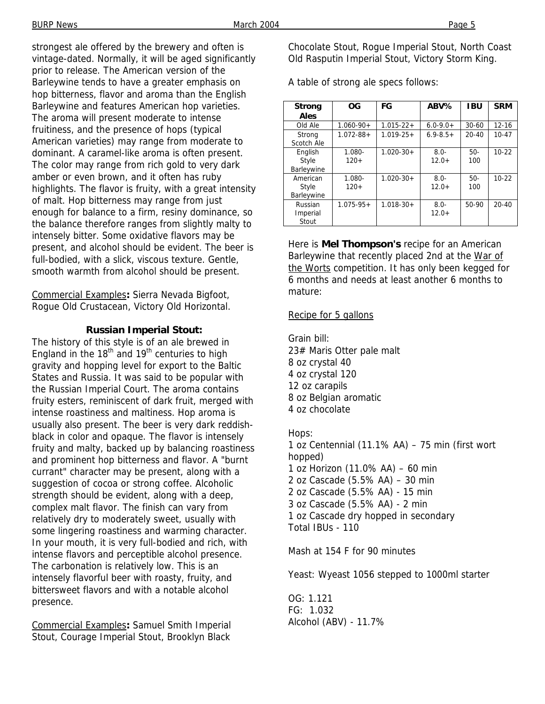strongest ale offered by the brewery and often is vintage-dated. Normally, it will be aged significantly prior to release. The American version of the Barleywine tends to have a greater emphasis on hop bitterness, flavor and aroma than the English Barleywine and features American hop varieties. The aroma will present moderate to intense fruitiness, and the presence of hops (typical American varieties) may range from moderate to dominant. A caramel-like aroma is often present. The color may range from rich gold to very dark amber or even brown, and it often has ruby highlights. The flavor is fruity, with a great intensity of malt. Hop bitterness may range from just enough for balance to a firm, resiny dominance, so the balance therefore ranges from slightly malty to intensely bitter. Some oxidative flavors may be present, and alcohol should be evident. The beer is full-bodied, with a slick, viscous texture. Gentle, smooth warmth from alcohol should be present.

Commercial Examples**:** Sierra Nevada Bigfoot, Rogue Old Crustacean, Victory Old Horizontal.

#### **Russian Imperial Stout:**

The history of this style is of an ale brewed in England in the  $18<sup>th</sup>$  and  $19<sup>th</sup>$  centuries to high gravity and hopping level for export to the Baltic States and Russia. It was said to be popular with the Russian Imperial Court. The aroma contains fruity esters, reminiscent of dark fruit, merged with intense roastiness and maltiness. Hop aroma is usually also present. The beer is very dark reddishblack in color and opaque. The flavor is intensely fruity and malty, backed up by balancing roastiness and prominent hop bitterness and flavor. A "burnt currant" character may be present, along with a suggestion of cocoa or strong coffee. Alcoholic strength should be evident, along with a deep, complex malt flavor. The finish can vary from relatively dry to moderately sweet, usually with some lingering roastiness and warming character. In your mouth, it is very full-bodied and rich, with intense flavors and perceptible alcohol presence. The carbonation is relatively low. This is an intensely flavorful beer with roasty, fruity, and bittersweet flavors and with a notable alcohol presence.

Commercial Examples**:** Samuel Smith Imperial Stout, Courage Imperial Stout, Brooklyn Black Chocolate Stout, Rogue Imperial Stout, North Coast Old Rasputin Imperial Stout, Victory Storm King.

A table of strong ale specs follows:

| <b>Strong</b><br>Ales           | OG               | FG             | ABV%               | <b>IBU</b>   | <b>SRM</b> |
|---------------------------------|------------------|----------------|--------------------|--------------|------------|
| Old Ale                         | $1.060 - 90 +$   | $1.015 - 22 +$ | $6.0 - 9.0 +$      | $30-60$      | $12 - 16$  |
| Strong<br>Scotch Ale            | $1.072 - 88 +$   | $1.019 - 25 +$ | $6.9 - 8.5 +$      | $20 - 40$    | $10 - 47$  |
| English<br>Style<br>Barleywine  | 1.080-<br>$120+$ | $1.020 - 30 +$ | $8.0 -$<br>$12.0+$ | $50-$<br>100 | $10 - 22$  |
| American<br>Style<br>Barleywine | 1.080-<br>$120+$ | $1.020 - 30 +$ | $8.0 -$<br>$12.0+$ | $50-$<br>100 | $10 - 22$  |
| Russian<br>Imperial<br>Stout    | $1.075 - 95 +$   | $1.018 - 30 +$ | $8.0 -$<br>$12.0+$ | 50-90        | $20 - 40$  |

Here is **Mel Thompson's** recipe for an American Barleywine that recently placed 2nd at the War of the Worts competition. It has only been kegged for 6 months and needs at least another 6 months to mature:

#### Recipe for 5 gallons

Grain bill: 23# Maris Otter pale malt 8 oz crystal 40 4 oz crystal 120 12 oz carapils 8 oz Belgian aromatic 4 oz chocolate

Hops:

1 oz Centennial (11.1% AA) – 75 min (first wort hopped) 1 oz Horizon (11.0% AA) – 60 min 2 oz Cascade (5.5% AA) – 30 min 2 oz Cascade (5.5% AA) - 15 min 3 oz Cascade (5.5% AA) - 2 min 1 oz Cascade dry hopped in secondary Total IBUs - 110

Mash at 154 F for 90 minutes

Yeast: Wyeast 1056 stepped to 1000ml starter

OG: 1.121 FG: 1.032 Alcohol (ABV) - 11.7%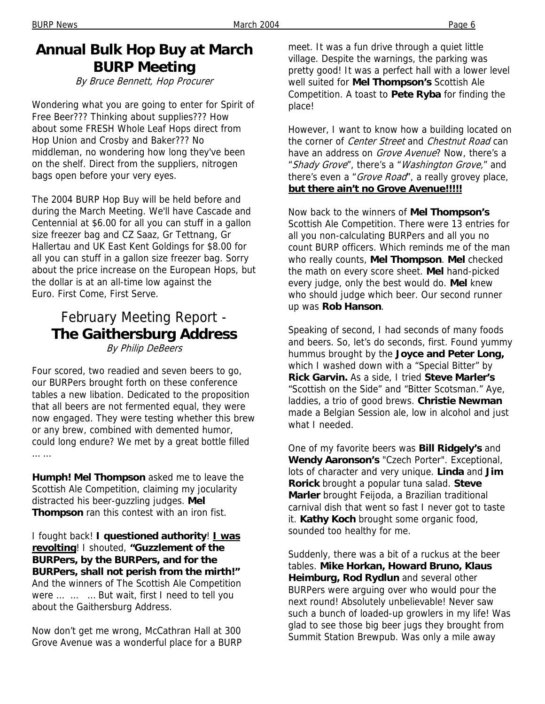# **Annual Bulk Hop Buy at March BURP Meeting**

By Bruce Bennett, Hop Procurer

Wondering what you are going to enter for Spirit of Free Beer??? Thinking about supplies??? How about some FRESH Whole Leaf Hops direct from Hop Union and Crosby and Baker??? No middleman, no wondering how long they've been on the shelf. Direct from the suppliers, nitrogen bags open before your very eyes.

The 2004 BURP Hop Buy will be held before and during the March Meeting. We'll have Cascade and Centennial at \$6.00 for all you can stuff in a gallon size freezer bag and CZ Saaz, Gr Tettnang, Gr Hallertau and UK East Kent Goldings for \$8.00 for all you can stuff in a gallon size freezer bag. Sorry about the price increase on the European Hops, but the dollar is at an all-time low against the Euro. First Come, First Serve.

# February Meeting Report - **The Gaithersburg Address**

By Philip DeBeers

Four scored, two readied and seven beers to go, our BURPers brought forth on these conference tables a new libation. Dedicated to the proposition that all beers are not fermented equal, they were now engaged. They were testing whether this brew or any brew, combined with demented humor, could long endure? We met by a great bottle filled … …

**Humph! Mel Thompson** asked me to leave the Scottish Ale Competition, claiming my jocularity distracted his beer-guzzling judges. **Mel Thompson** ran this contest with an iron fist.

I fought back! **I questioned authority**! **I was revolting**! I shouted, **"Guzzlement of the BURPers, by the BURPers, and for the BURPers, shall not perish from the mirth!"** And the winners of The Scottish Ale Competition were … … … But wait, first I need to tell you about the Gaithersburg Address.

Now don't get me wrong, McCathran Hall at 300 Grove Avenue was a wonderful place for a BURP

meet. It was a fun drive through a quiet little village. Despite the warnings, the parking was pretty good! It was a perfect hall with a lower level well suited for **Mel Thompson's** Scottish Ale Competition. A toast to **Pete Ryba** for finding the place!

However, I want to know how a building located on the corner of Center Street and Chestnut Road can have an address on *Grove Avenue*? Now, there's a "Shady Grove", there's a "Washington Grove," and there's even a "Grove Road", a really grovey place, **but there ain't no Grove Avenue!!!!!**

Now back to the winners of **Mel Thompson's** Scottish Ale Competition. There were 13 entries for all you non-calculating BURPers and all you no count BURP officers. Which reminds me of the man who really counts, **Mel Thompson**. **Mel** checked the math on every score sheet. **Mel** hand-picked every judge, only the best would do. **Mel** knew who should judge which beer. Our second runner up was **Rob Hanson**.

Speaking of second, I had seconds of many foods and beers. So, let's do seconds, first. Found yummy hummus brought by the **Joyce and Peter Long,**  which I washed down with a "Special Bitter" by **Rick Garvin.** As a side, I tried **Steve Marler's** "Scottish on the Side" and "Bitter Scotsman." Aye, laddies, a trio of good brews. **Christie Newman** made a Belgian Session ale, low in alcohol and just what I needed.

One of my favorite beers was **Bill Ridgely's** and **Wendy Aaronson's** "Czech Porter". Exceptional, lots of character and very unique. **Linda** and **Jim Rorick** brought a popular tuna salad. **Steve Marler** brought Feijoda, a Brazilian traditional carnival dish that went so fast I never got to taste it. **Kathy Koch** brought some organic food, sounded too healthy for me.

Suddenly, there was a bit of a ruckus at the beer tables. **Mike Horkan, Howard Bruno, Klaus Heimburg, Rod Rydlun** and several other BURPers were arguing over who would pour the next round! Absolutely unbelievable! Never saw such a bunch of loaded-up growlers in my life! Was glad to see those big beer jugs they brought from Summit Station Brewpub. Was only a mile away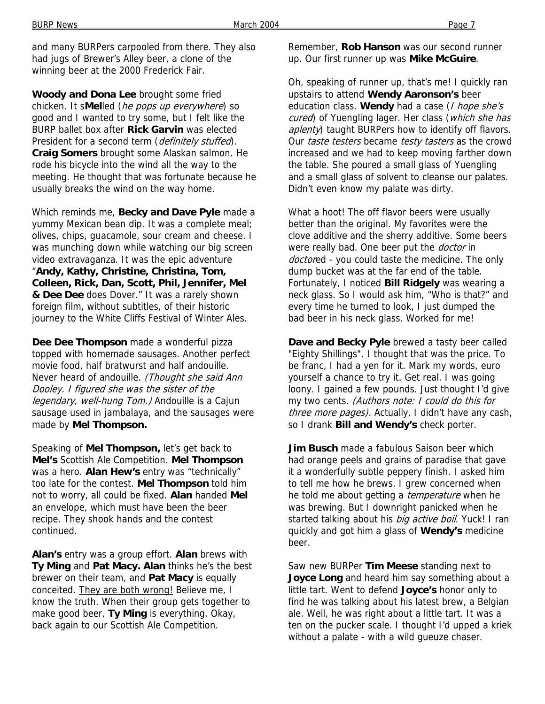and many BURPers carpooled from there. They also had jugs of Brewer's Alley beer, a clone of the winning beer at the 2000 Frederick Fair.

**Woody and Dona Lee** brought some fried chicken. It s**Mel**led (he pops up everywhere) so good and I wanted to try some, but I felt like the BURP ballet box after **Rick Garvin** was elected President for a second term (definitely stuffed). **Craig Somers** brought some Alaskan salmon. He rode his bicycle into the wind all the way to the meeting. He thought that was fortunate because he usually breaks the wind on the way home.

Which reminds me, **Becky and Dave Pyle** made a yummy Mexican bean dip. It was a complete meal; olives, chips, guacamole, sour cream and cheese. I was munching down while watching our big screen video extravaganza. It was the epic adventure "**Andy, Kathy, Christine, Christina, Tom, Colleen, Rick, Dan, Scott, Phil, Jennifer, Mel & Dee Dee** does Dover." It was a rarely shown foreign film, without subtitles, of their historic journey to the White Cliffs Festival of Winter Ales.

**Dee Dee Thompson** made a wonderful pizza topped with homemade sausages. Another perfect movie food, half bratwurst and half andouille. Never heard of andouille. (Thought she said Ann Dooley. I figured she was the sister of the legendary, well-hung Tom.) Andouille is a Cajun sausage used in jambalaya, and the sausages were made by **Mel Thompson.**

Speaking of **Mel Thompson,** let's get back to **Mel's** Scottish Ale Competition. **Mel Thompson**  was a hero. **Alan Hew's** entry was "technically" too late for the contest. **Mel Thompson** told him not to worry, all could be fixed. **Alan** handed **Mel** an envelope, which must have been the beer recipe. They shook hands and the contest continued.

**Alan's** entry was a group effort. **Alan** brews with **Ty Ming** and **Pat Macy. Alan** thinks he's the best brewer on their team, and **Pat Macy** is equally conceited. They are both wrong! Believe me, I know the truth. When their group gets together to make good beer, **Ty Ming** is everything. Okay, back again to our Scottish Ale Competition.

Remember, **Rob Hanson** was our second runner up. Our first runner up was **Mike McGuire**.

Oh, speaking of runner up, that's me! I quickly ran upstairs to attend **Wendy Aaronson's** beer education class. **Wendy** had a case (I hope she's cured) of Yuengling lager. Her class (which she has aplenty) taught BURPers how to identify off flavors. Our taste testers became testy tasters as the crowd increased and we had to keep moving farther down the table. She poured a small glass of Yuengling and a small glass of solvent to cleanse our palates. Didn't even know my palate was dirty.

What a hoot! The off flavor beers were usually better than the original. My favorites were the clove additive and the sherry additive. Some beers were really bad. One beer put the *doctor* in doctored - you could taste the medicine. The only dump bucket was at the far end of the table. Fortunately, I noticed **Bill Ridgely** was wearing a neck glass. So I would ask him, "Who is that?" and every time he turned to look, I just dumped the bad beer in his neck glass. Worked for me!

**Dave and Becky Pyle** brewed a tasty beer called "Eighty Shillings". I thought that was the price. To be franc, I had a yen for it. Mark my words, euro yourself a chance to try it. Get real. I was going loony. I gained a few pounds. Just thought I'd give my two cents. (Authors note: I could do this for three more pages). Actually, I didn't have any cash, so I drank **Bill and Wendy's** check porter.

**Jim Busch** made a fabulous Saison beer which had orange peels and grains of paradise that gave it a wonderfully subtle peppery finish. I asked him to tell me how he brews. I grew concerned when he told me about getting a *temperature* when he was brewing. But I downright panicked when he started talking about his *big active boil*. Yuck! I ran quickly and got him a glass of **Wendy's** medicine beer.

Saw new BURPer **Tim Meese** standing next to **Joyce Long** and heard him say something about a little tart. Went to defend **Joyce's** honor only to find he was talking about his latest brew, a Belgian ale. Well, he was right about a little tart. It was a ten on the pucker scale. I thought I'd upped a kriek without a palate - with a wild gueuze chaser.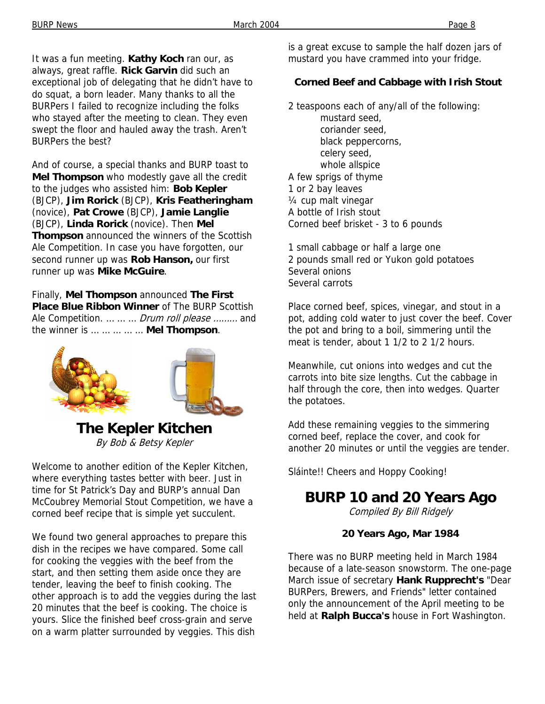It was a fun meeting. **Kathy Koch** ran our, as always, great raffle. **Rick Garvin** did such an exceptional job of delegating that he didn't have to do squat, a born leader. Many thanks to all the BURPers I failed to recognize including the folks who stayed after the meeting to clean. They even swept the floor and hauled away the trash. Aren't BURPers the best?

And of course, a special thanks and BURP toast to **Mel Thompson** who modestly gave all the credit to the judges who assisted him: **Bob Kepler** (BJCP), **Jim Rorick** (BJCP), **Kris Featheringham** (novice), **Pat Crowe** (BJCP), **Jamie Langlie** (BJCP), **Linda Rorick** (novice). Then **Mel Thompson** announced the winners of the Scottish Ale Competition. In case you have forgotten, our second runner up was **Rob Hanson,** our first runner up was **Mike McGuire**.

Finally, **Mel Thompson** announced **The First Place Blue Ribbon Winner** of The BURP Scottish Ale Competition. ... ... ... *Drum roll please ........* and the winner is … … … … … **Mel Thompson**.



**The Kepler Kitchen** By Bob & Betsy Kepler

Welcome to another edition of the Kepler Kitchen, where everything tastes better with beer. Just in time for St Patrick's Day and BURP's annual Dan McCoubrey Memorial Stout Competition, we have a corned beef recipe that is simple yet succulent.

We found two general approaches to prepare this dish in the recipes we have compared. Some call for cooking the veggies with the beef from the start, and then setting them aside once they are tender, leaving the beef to finish cooking. The other approach is to add the veggies during the last 20 minutes that the beef is cooking. The choice is yours. Slice the finished beef cross-grain and serve on a warm platter surrounded by veggies. This dish

is a great excuse to sample the half dozen jars of mustard you have crammed into your fridge.

### **Corned Beef and Cabbage with Irish Stout**

2 teaspoons each of any/all of the following:

mustard seed, coriander seed, black peppercorns, celery seed, whole allspice A few sprigs of thyme 1 or 2 bay leaves ¼ cup malt vinegar A bottle of Irish stout Corned beef brisket - 3 to 6 pounds

1 small cabbage or half a large one 2 pounds small red or Yukon gold potatoes Several onions Several carrots

Place corned beef, spices, vinegar, and stout in a pot, adding cold water to just cover the beef. Cover the pot and bring to a boil, simmering until the meat is tender, about 1 1/2 to 2 1/2 hours.

Meanwhile, cut onions into wedges and cut the carrots into bite size lengths. Cut the cabbage in half through the core, then into wedges. Quarter the potatoes.

Add these remaining veggies to the simmering corned beef, replace the cover, and cook for another 20 minutes or until the veggies are tender.

Sláinte!! Cheers and Hoppy Cooking!

### **BURP 10 and 20 Years Ago**

Compiled By Bill Ridgely

#### **20 Years Ago, Mar 1984**

There was no BURP meeting held in March 1984 because of a late-season snowstorm. The one-page March issue of secretary **Hank Rupprecht's** "Dear BURPers, Brewers, and Friends" letter contained only the announcement of the April meeting to be held at **Ralph Bucca's** house in Fort Washington.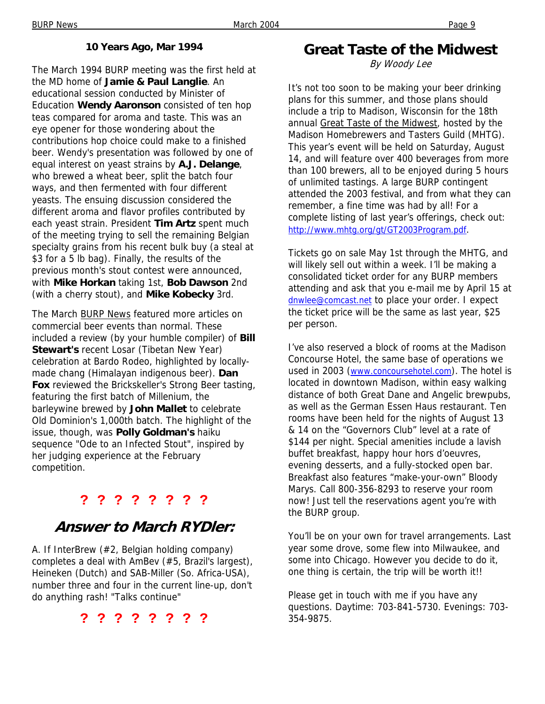### **10 Years Ago, Mar 1994**

The March 1994 BURP meeting was the first held at the MD home of **Jamie & Paul Langlie**. An educational session conducted by Minister of Education **Wendy Aaronson** consisted of ten hop teas compared for aroma and taste. This was an eye opener for those wondering about the contributions hop choice could make to a finished beer. Wendy's presentation was followed by one of equal interest on yeast strains by **A.J. Delange**, who brewed a wheat beer, split the batch four ways, and then fermented with four different yeasts. The ensuing discussion considered the different aroma and flavor profiles contributed by each yeast strain. President **Tim Artz** spent much of the meeting trying to sell the remaining Belgian specialty grains from his recent bulk buy (a steal at \$3 for a 5 lb bag). Finally, the results of the previous month's stout contest were announced, with **Mike Horkan** taking 1st, **Bob Dawson** 2nd (with a cherry stout), and **Mike Kobecky** 3rd.

The March BURP News featured more articles on commercial beer events than normal. These included a review (by your humble compiler) of **Bill Stewart's** recent Losar (Tibetan New Year) celebration at Bardo Rodeo, highlighted by locallymade chang (Himalayan indigenous beer). **Dan Fox** reviewed the Brickskeller's Strong Beer tasting, featuring the first batch of Millenium, the barleywine brewed by **John Mallet** to celebrate Old Dominion's 1,000th batch. The highlight of the issue, though, was **Polly Goldman's** haiku sequence "Ode to an Infected Stout", inspired by her judging experience at the February competition.

### **? ? ? ? ? ? ? ?**

# **Answer to March RYDler:**

A. If InterBrew (#2, Belgian holding company) completes a deal with AmBev (#5, Brazil's largest), Heineken (Dutch) and SAB-Miller (So. Africa-USA), number three and four in the current line-up, don't do anything rash! "Talks continue"

**? ? ? ? ? ? ? ?** 

# **Great Taste of the Midwest**

By Woody Lee

It's not too soon to be making your beer drinking plans for this summer, and those plans should include a trip to Madison, Wisconsin for the 18th annual Great Taste of the Midwest, hosted by the Madison Homebrewers and Tasters Guild (MHTG). This year's event will be held on Saturday, August 14, and will feature over 400 beverages from more than 100 brewers, all to be enjoyed during 5 hours of unlimited tastings. A large BURP contingent attended the 2003 festival, and from what they can remember, a fine time was had by all! For a complete listing of last year's offerings, check out: http://www.mhtg.org/gt/GT2003Program.pdf.

Tickets go on sale May 1st through the MHTG, and will likely sell out within a week. I'll be making a consolidated ticket order for any BURP members attending and ask that you e-mail me by April 15 at dnwlee@comcast.net to place your order. I expect the ticket price will be the same as last year, \$25 per person.

I've also reserved a block of rooms at the Madison Concourse Hotel, the same base of operations we used in 2003 (www.concoursehotel.com). The hotel is located in downtown Madison, within easy walking distance of both Great Dane and Angelic brewpubs, as well as the German Essen Haus restaurant. Ten rooms have been held for the nights of August 13 & 14 on the "Governors Club" level at a rate of \$144 per night. Special amenities include a lavish buffet breakfast, happy hour hors d'oeuvres, evening desserts, and a fully-stocked open bar. Breakfast also features "make-your-own" Bloody Marys. Call 800-356-8293 to reserve your room now! Just tell the reservations agent you're with the BURP group.

You'll be on your own for travel arrangements. Last year some drove, some flew into Milwaukee, and some into Chicago. However you decide to do it, one thing is certain, the trip will be worth it!!

Please get in touch with me if you have any questions. Daytime: 703-841-5730. Evenings: 703- 354-9875.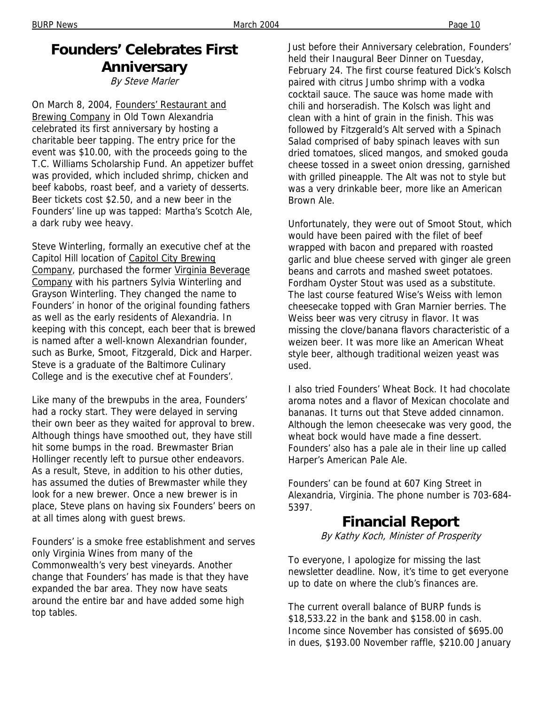#### BURP News Page 10

# **Founders' Celebrates First Anniversary**

By Steve Marler

On March 8, 2004, Founders' Restaurant and Brewing Company in Old Town Alexandria celebrated its first anniversary by hosting a charitable beer tapping. The entry price for the event was \$10.00, with the proceeds going to the T.C. Williams Scholarship Fund. An appetizer buffet was provided, which included shrimp, chicken and beef kabobs, roast beef, and a variety of desserts. Beer tickets cost \$2.50, and a new beer in the Founders' line up was tapped: Martha's Scotch Ale, a dark ruby wee heavy.

Steve Winterling, formally an executive chef at the Capitol Hill location of Capitol City Brewing Company, purchased the former Virginia Beverage Company with his partners Sylvia Winterling and Grayson Winterling. They changed the name to Founders' in honor of the original founding fathers as well as the early residents of Alexandria. In keeping with this concept, each beer that is brewed is named after a well-known Alexandrian founder, such as Burke, Smoot, Fitzgerald, Dick and Harper. Steve is a graduate of the Baltimore Culinary College and is the executive chef at Founders'.

Like many of the brewpubs in the area, Founders' had a rocky start. They were delayed in serving their own beer as they waited for approval to brew. Although things have smoothed out, they have still hit some bumps in the road. Brewmaster Brian Hollinger recently left to pursue other endeavors. As a result, Steve, in addition to his other duties, has assumed the duties of Brewmaster while they look for a new brewer. Once a new brewer is in place, Steve plans on having six Founders' beers on at all times along with guest brews.

Founders' is a smoke free establishment and serves only Virginia Wines from many of the Commonwealth's very best vineyards. Another change that Founders' has made is that they have expanded the bar area. They now have seats around the entire bar and have added some high top tables.

Just before their Anniversary celebration, Founders' held their Inaugural Beer Dinner on Tuesday, February 24. The first course featured Dick's Kolsch paired with citrus Jumbo shrimp with a vodka cocktail sauce. The sauce was home made with chili and horseradish. The Kolsch was light and clean with a hint of grain in the finish. This was followed by Fitzgerald's Alt served with a Spinach Salad comprised of baby spinach leaves with sun dried tomatoes, sliced mangos, and smoked gouda cheese tossed in a sweet onion dressing, garnished with grilled pineapple. The Alt was not to style but was a very drinkable beer, more like an American Brown Ale.

Unfortunately, they were out of Smoot Stout, which would have been paired with the filet of beef wrapped with bacon and prepared with roasted garlic and blue cheese served with ginger ale green beans and carrots and mashed sweet potatoes. Fordham Oyster Stout was used as a substitute. The last course featured Wise's Weiss with lemon cheesecake topped with Gran Marnier berries. The Weiss beer was very citrusy in flavor. It was missing the clove/banana flavors characteristic of a weizen beer. It was more like an American Wheat style beer, although traditional weizen yeast was used.

I also tried Founders' Wheat Bock. It had chocolate aroma notes and a flavor of Mexican chocolate and bananas. It turns out that Steve added cinnamon. Although the lemon cheesecake was very good, the wheat bock would have made a fine dessert. Founders' also has a pale ale in their line up called Harper's American Pale Ale.

Founders' can be found at 607 King Street in Alexandria, Virginia. The phone number is 703-684- 5397.

### **Financial Report**

By Kathy Koch, Minister of Prosperity

To everyone, I apologize for missing the last newsletter deadline. Now, it's time to get everyone up to date on where the club's finances are.

The current overall balance of BURP funds is \$18,533.22 in the bank and \$158.00 in cash. Income since November has consisted of \$695.00 in dues, \$193.00 November raffle, \$210.00 January